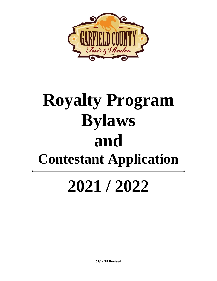

# **Royalty Program Bylaws and Contestant Application**

# **2021 / 2022**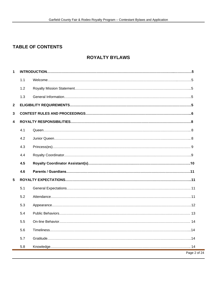## **TABLE OF CONTENTS**

### **ROYALTY BYLAWS**

| $\mathbf{1}$ |     |              |  |
|--------------|-----|--------------|--|
|              | 1.1 |              |  |
|              | 1.2 |              |  |
|              | 1.3 |              |  |
| $\mathbf{2}$ |     |              |  |
| 3            |     |              |  |
| 4            |     |              |  |
|              | 4.1 |              |  |
|              | 4.2 |              |  |
|              | 4.3 |              |  |
|              | 4.4 |              |  |
|              | 4.5 |              |  |
|              | 4.6 |              |  |
| 5            |     |              |  |
|              | 5.1 |              |  |
|              | 5.2 |              |  |
|              | 5.3 |              |  |
|              | 5.4 |              |  |
|              | 5.5 |              |  |
|              | 5.6 |              |  |
|              | 5.7 |              |  |
|              | 5.8 |              |  |
|              |     | Page 2 of 24 |  |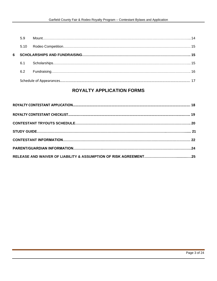|   | 5.9  |  |  |
|---|------|--|--|
|   | 5.10 |  |  |
| 6 |      |  |  |
|   | 6.1  |  |  |
|   | 6.2  |  |  |
|   |      |  |  |

### **ROYALTY APPLICATION FORMS**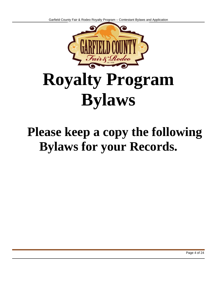

# **Royalty Program Bylaws**

# **Please keep a copy the following Bylaws for your Records.**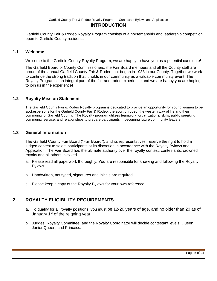#### **INTRODUCTION**

<span id="page-4-0"></span>Garfield County Fair & Rodeo Royalty Program consists of a horsemanship and leadership competition open to Garfield County residents.

#### <span id="page-4-1"></span>**1.1 Welcome**

Welcome to the Garfield County Royalty Program, we are happy to have you as a potential candidate!

The Garfield Board of County Commissioners, the Fair Board members and all the County staff are proud of the annual Garfield County Fair & Rodeo that began in 1938 in our County. Together we work to continue the strong tradition that it holds in our community as a valuable community event. The Royalty Program is an integral part of the fair and rodeo experience and we are happy you are hoping to join us in the experience!

#### <span id="page-4-2"></span>**1.2 Royalty Mission Statement**

The Garfield County Fair & Rodeo Royalty program is dedicated to provide an opportunity for young women to be spokespersons for the Garfield County Fair & Rodeo, the sport of rodeo, the western way of life and their community of Garfield County. The Royalty program utilizes teamwork, organizational skills, public speaking, community service, and relationships to prepare participants in becoming future community leaders.

#### <span id="page-4-3"></span>**1.3 General Information**

The Garfield County Fair Board ("Fair Board"), and its representatives, reserve the right to hold a judged contest to select participants at its discretion in accordance with the Royalty Bylaws and Application. The Fair Board has the ultimate authority over the royalty contest, contestants, crowned royalty and all others involved.

- a. Please read all paperwork thoroughly. You are responsible for knowing and following the Royalty Bylaws.
- b. Handwritten, not typed, signatures and initials are required.
- c. Please keep a copy of the Royalty Bylaws for your own reference.

#### <span id="page-4-4"></span>**2 ROYALTY ELIGIBILITY REQUIREMENTS**

- a. To qualify for all royalty positions, you must be 12-20 years of age, and no older than 20 as of January  $1<sup>st</sup>$  of the reigning year.
- b. Judges, Royalty Committee, and the Royalty Coordinator will decide contestant levels: Queen, Junior Queen, and Princess.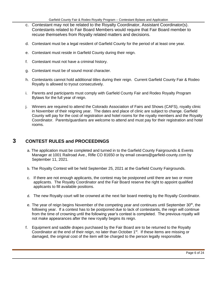- c. Contestant may not be related to the Royalty Coordinator, Assistant Coordinator(s). Contestants related to Fair Board Members would require that Fair Board member to recuse themselves from Royalty related matters and decisions.
- d. Contestant must be a legal resident of Garfield County for the period of at least one year.
- e. Contestant must reside in Garfield County during their reign.
- f. Contestant must not have a criminal history.
- g. Contestant must be of sound moral character.
- h. Contestants cannot hold additional titles during their reign. Current Garfield County Fair & Rodeo Royalty is allowed to tryout consecutively.
- i. Parents and participants must comply with Garfield County Fair and Rodeo Royalty Program Bylaws for the full year of reign.
- j. Winners are required to attend the Colorado Association of Fairs and Shows (CAFS), royalty clinic in November of their reigning year. The dates and place of clinic are subject to change. Garfield County will pay for the cost of registration and hotel rooms for the royalty members and the Royalty Coordinator. Parents/guardians are welcome to attend and must pay for their registration and hotel rooms.

### <span id="page-5-0"></span>**3 CONTEST RULES and PROCEEDINGS**

- a. The application must be completed and turned in to the Garfield County Fairgrounds & Events Manager at 1001 Railroad Ave., Rifle CO 81650 or by email cevans@garfield-county.com by September 11, 2021.
- b. The Royalty Contest will be held September 25, 2021 at the Garfield County Fairgrounds.
- c. If there are not enough applicants, the contest may be postponed until there are two or more applicants. The Royalty Coordinator and the Fair Board reserve the right to appoint qualified applicants to fill available positions.
- d. The new Royalty court will be crowned at the next fair board meeting by the Royalty Coordinator.
- e. The year of reign begins November of the competing year and continues until September 30<sup>th</sup>, the following year. If a contest has to be postponed due to lack of contestants, the reign will continue from the time of crowning until the following year's contest is completed. The previous royalty will not make appearances after the new royalty begins its reign.
- f. Equipment and saddle drapes purchased by the Fair Board are to be returned to the Royalty Coordinator at the end of their reign, no later than October  $1<sup>st</sup>$ . If these items are missing or damaged, the original cost of the item will be charged to the person legally responsible.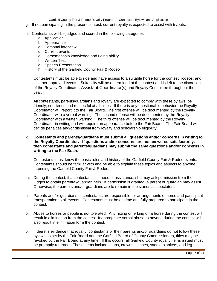- g. If not participating in the present contest, current royalty is expected to assist with tryouts.
- h. Contestants will be judged and scored in the following categories:
	- a. Application
	- b. Appearance
	- c. Personal interview
	- d. Current events
	- e. Horsemanship knowledge and riding ability
	- f. Written Test
	- g. Speech Presentation
	- h. History of the Garfield County Fair & Rodeo
- i. Contestants must be able to ride and have access to a suitable horse for the contest, rodeos, and all other approved events. Suitability will be determined at the contest and is left to the discretion of the Royalty Coordinator, Assistant Coordinator(s) and Royalty Committee throughout the year.
- j. All contestants, parents/guardians and royalty are expected to comply with these bylaws, be friendly, courteous and respectful at all times. If there is any questionable behavior the Royalty Coordinator will report it to the Fair Board. The first offense will be documented by the Royalty Coordinator with a verbal warning. The second offense will be documented by the Royalty Coordinator with a written warning. The third offense will be documented by the Royalty Coordinator in writing and will require an appearance before the Fair Board. The Fair Board will decide penalties and/or dismissal from royalty and scholarship eligibility.
- **k. Contestants and parents/guardians must submit all questions and/or concerns in writing to the Royalty Coordinator. If questions and/or concerns are not answered satisfactorily, then contestants and parents/guardians may submit the same questions and/or concerns in writing to the Fair Board.**
- l. Contestants must know the basic rules and history of the Garfield County Fair & Rodeo events. Contestants should be familiar with and be able to explain these topics and aspects to anyone attending the Garfield County Fair & Rodeo.
- m. During the contest, if a contestant is in need of assistance, she may ask permission from the judges to obtain parental/guardian help. If permission is granted, a parent or guardian may assist. Otherwise, the parents and/or guardians are to remain in the stands as spectators.
- n. Parents and/or guardians of contestants are responsible for arrangements of horse and participant transportation to all events. Contestants must be on time and fully prepared to participate in the contest.
- o. Abuse to horses or people is not tolerated. Any hitting or jerking on a horse during the contest will result in elimination from the contest. Inappropriate verbal abuse to anyone during the contest will also result in elimination form the contest.
- p. If there is evidence that royalty, contestants or their parents and/or guardians do not follow these bylaws as set by the Fair Board and the Garfield Board of County Commissioners, titles may be revoked by the Fair Board at any time. If this occurs, all Garfield County royalty items issued must be promptly returned. These items include chaps, crowns, sashes, saddle blankets, and leg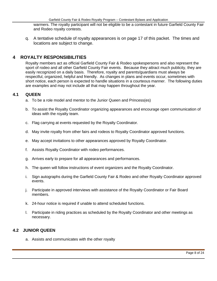warmers. The royalty participant will not be eligible to be a contestant in future Garfield County Fair and Rodeo royalty contests.

q. A tentative schedule of royalty appearances is on page 17 of this packet. The times and locations are subject to change.

#### **4 ROYALTY RESPONSIBILITIES**

Royalty members act as official Garfield County Fair & Rodeo spokespersons and also represent the sport of rodeo and all other Garfield County Fair events. Because they attract much publicity, they are easily recognized on a daily basis. Therefore, royalty and parents/guardians must always be respectful, organized, helpful and friendly. As changes in plans and events occur, sometimes with short notice, each person is expected to handle situations in a courteous manner. The following duties are examples and may not include all that may happen throughout the year.

#### <span id="page-7-0"></span>**4.1 QUEEN**

- a. To be a role model and mentor to the Junior Queen and Princess(es)
- b. To assist the Royalty Coordinator organizing appearances and encourage open communication of ideas with the royalty team.
- c. Flag carrying at events requested by the Royalty Coordinator.
- d. May invite royalty from other fairs and rodeos to Royalty Coordinator approved functions.
- e. May accept invitations to other appearances approved by Royalty Coordinator.
- f. Assists Royalty Coordinator with rodeo performances.
- g. Arrives early to prepare for all appearances and performances.
- h. The queen will follow instructions of event organizers and the Royalty Coordinator.
- i. Sign autographs during the Garfield County Fair & Rodeo and other Royalty Coordinator approved events.
- j. Participate in approved interviews with assistance of the Royalty Coordinator or Fair Board members.
- k. 24-hour notice is required if unable to attend scheduled functions.
- l. Participate in riding practices as scheduled by the Royalty Coordinator and other meetings as necessary.

#### **4.2 JUNIOR QUEEN**

a. Assists and communicates with the other royalty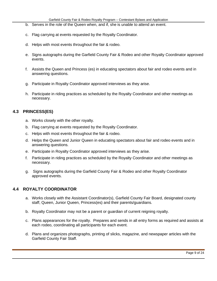- b. Serves in the role of the Queen when, and if, she is unable to attend an event.
- c. Flag carrying at events requested by the Royalty Coordinator.
- d. Helps with most events throughout the fair & rodeo.
- e. Signs autographs during the Garfield County Fair & Rodeo and other Royalty Coordinator approved events.
- f. Assists the Queen and Princess (es) in educating spectators about fair and rodeo events and in answering questions.
- g. Participate in Royalty Coordinator approved interviews as they arise.
- h. Participate in riding practices as scheduled by the Royalty Coordinator and other meetings as necessary.

#### **4.3 PRINCESS(ES)**

- a. Works closely with the other royalty.
- b. Flag carrying at events requested by the Royalty Coordinator.
- c. Helps with most events throughout the fair & rodeo.
- d. Helps the Queen and Junior Queen in educating spectators about fair and rodeo events and in answering questions.
- e. Participate in Royalty Coordinator approved interviews as they arise.
- f. Participate in riding practices as scheduled by the Royalty Coordinator and other meetings as necessary.
- g. Signs autographs during the Garfield County Fair & Rodeo and other Royalty Coordinator approved events.

#### **4.4 ROYALTY COORDINATOR**

- a. Works closely with the Assistant Coordinator(s), Garfield County Fair Board, designated county staff, Queen, Junior Queen, Princess(es) and their parents/guardians.
- b. Royalty Coordinator may not be a parent or guardian of current reigning royalty.
- c. Plans appearances for the royalty. Prepares and sends in all entry forms as required and assists at each rodeo, coordinating all participants for each event.
- d. Plans and organizes photographs, printing of slicks, magazine, and newspaper articles with the Garfield County Fair Staff.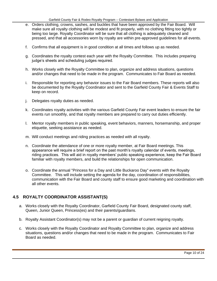- e. Orders clothing, crowns, sashes, and buckles that have been approved by the Fair Board. Will make sure all royalty clothing will be modest and fit properly, with no clothing fitting too tightly or being too large. Royalty Coordinator will be sure that all clothing is adequately cleaned and pressed, and that all accessories worn by royalty are within pre-approved guidelines for all events.
- f. Confirms that all equipment is in good condition at all times and follows up as needed.
- g. Coordinates the royalty contest each year with the Royalty Committee. This includes preparing judge's sheets and scheduling judges required.
- h. Works closely with the Royalty Committee to plan, organize and address situations, questions and/or changes that need to be made in the program. Communicates to Fair Board as needed.
- i. Responsible for reporting any behavior issues to the Fair Board members. These reports will also be documented by the Royalty Coordinator and sent to the Garfield County Fair & Events Staff to keep on record.
- j. Delegates royalty duties as needed.
- k. Coordinates royalty activities with the various Garfield County Fair event leaders to ensure the fair events run smoothly, and that royalty members are prepared to carry out duties efficiently.
- l. Mentor royalty members in public speaking, event behaviors, manners, horsemanship, and proper etiquette, seeking assistance as needed.
- m. Will conduct meetings and riding practices as needed with all royalty.
- n. Coordinate the attendance of one or more royalty member, at Fair Board meetings. This appearance will require a brief report on the past month's royalty calendar of events, meetings, riding practices. This will aid in royalty members' public speaking experience, keep the Fair Board familiar with royalty members, and build the relationships for open communication.
- o. Coordinate the annual "Princess for a Day and Little Buckaroo Day" events with the Royalty Committee. This will include setting the agenda for the day, coordination of responsibilities, communication with the Fair Board and county staff to ensure good marketing and coordination with all other events.

#### **4.5 ROYALTY COORDINATOR ASSISTANT(S)**

- a. Works closely with the Royalty Coordinator, Garfield County Fair Board, designated county staff, Queen, Junior Queen, Princess(es) and their parents/guardians.
- b. Royalty Assistant Coordinator(s) may not be a parent or guardian of current reigning royalty.
- c. Works closely with the Royalty Coordinator and Royalty Committee to plan, organize and address situations, questions and/or changes that need to be made in the program. Communicates to Fair Board as needed.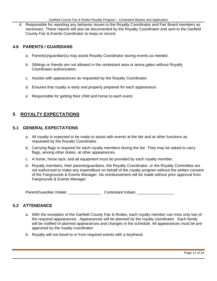d. Responsible for reporting any behavior issues to the Royalty Coordinator and Fair Board members as necessary. These reports will also be documented by the Royalty Coordinator and sent to the Garfield County Fair & Events Coordinator to keep on record.

#### **4.6 PARENTS / GUARDIANS**

- a. Parent(s)/guardian(s) may assist Royalty Coordinator during events as needed.
- b. Siblings or friends are not allowed in the contestant area or arena gates without Royalty Coordinator authorization.
- c. Assists with appearances as requested by the Royalty Coordinator.
- d. Ensures that royalty is early and properly prepared for each appearance.
- e. Responsible for getting their child and horse to each event.

#### **5 ROYALTY EXPECTATIONS**

#### **5.1 GENERAL EXPECTATIONS**

- a. All royalty is expected to be ready to assist with events at the fair and at other functions as requested by the Royalty Coordinator.
- b. Carrying flags is required for each royalty members during the fair. They may be asked to carry flags, among other duties, at other appearances.
- c. A horse, horse tack, and all equipment must be provided by each royalty member.
- d. Royalty members, their parents/guardians, the Royalty Coordinator, or the Royalty Committee are not authorized to make any expenditure on behalf of the royalty program without the written consent of the Fairgrounds & Events Manager. No reimbursement will be made without prior approval from Fairgrounds & Events Manager.

Parent/Guardian Initials: \_\_\_\_\_\_\_\_\_\_\_\_\_\_\_\_\_\_\_\_\_\_\_\_\_Contestant Initials: \_\_\_\_\_\_\_\_\_\_\_\_\_\_\_

#### **5.2 ATTENDANCE**

- a. With the exception of the Garfield County Fair & Rodeo, each royalty member can miss only two of the required appearances. Appearances will be planned by the royalty coordinator. Each family will be notified of planned appearances and changes in the schedule. All appearances must be preapproved by the royalty coordinator.
- b. Royalty will not travel to or from required events with a boyfriend.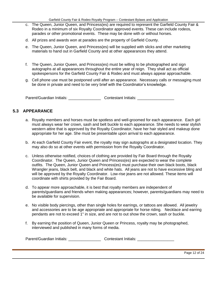- c. The Queen, Junior Queen, and Princess(es) are required to represent the Garfield County Fair & Rodeo in a minimum of six Royalty Coordinator approved events. These can include rodeos, parades or other promotional events. These may be done with or without horses.
- d. All prizes and awards won at parades are the property of Garfield County.
- e. The Queen, Junior Queen, and Princess(es) will be supplied with slicks and other marketing materials to hand out in Garfield County and at other appearances they attend.
- f. The Queen, Junior Queen, and Princess(es) must be willing to be photographed and sign autographs at all appearances throughout the entire year of reign. They shall act as official spokespersons for the Garfield County Fair & Rodeo and must always appear approachable.
- g. Cell phone use must be postponed until after an appearance. Necessary calls or messaging must be done in private and need to be very brief with the Coordinator's knowledge.

Parent/Guardian Initials: \_\_\_\_\_\_\_\_\_\_\_\_\_\_\_\_\_\_\_\_\_\_\_Contestant Initials: \_\_\_\_\_\_\_\_\_\_\_

#### **5.3 APPEARANCE**

- a. Royalty members and horses must be spotless and well-groomed for each appearance. Each girl must always wear her crown, sash and belt buckle to each appearance. She needs to wear stylish western attire that is approved by the Royalty Coordinator, have her hair styled and makeup done appropriate for her age. She must be presentable upon arrival to each appearance.
- b. At each Garfield County Fair event, the royalty may sign autographs at a designated location. They may also do so at other events with permission from the Royalty Coordinator.
- c. Unless otherwise notified, choices of clothing are provided by Fair Board through the Royalty Coordinator. The Queen, Junior Queen and Princess(es) are expected to wear the complete outfits. The Queen, Junior Queen and Princess(es) must purchase their own black boots, black Wrangler jeans, black belt, and black and white hats. All jeans are not to have excessive bling and will be approved by the Royalty Coordinator. Low-rise jeans are not allowed. These items will coordinate with shirts provided by the Fair Board.
- d. To appear more approachable, it is best that royalty members are independent of parents/guardians and friends when making appearances; however, parents/guardians may need to be available for supervision.
- e. No visible body piercings, other than single holes for earrings, or tattoos are allowed. All jewelry and accessories are to be age appropriate and appropriate for horse riding. Necklace and earring pendants are not to exceed 1" in size, and are not to out show the crown, sash or buckle.
- f. By earning the position of Queen, Junior Queen or Princess, royalty may be photographed, interviewed and published in many forms of media.

| Parent/Guardian Initials:<br><b>Contestant Initials:</b> |  |
|----------------------------------------------------------|--|
|----------------------------------------------------------|--|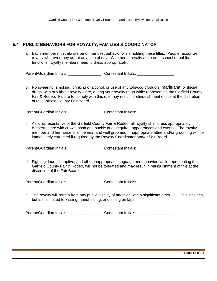#### **5.4 PUBLIC BEHAVIORS FOR ROYALTY, FAMILIES & COORDINATOR**

a. Each member must always be on her best behavior while holding these titles. People recognize royalty wherever they are at any time of day. Whether in royalty attire or at school or public functions, royalty members need to dress appropriately.

Parent/Guardian Initials: \_\_\_\_\_\_\_\_\_\_\_\_\_\_\_\_\_\_\_\_\_Contestant Initials: \_\_\_\_\_\_\_\_\_\_\_\_

b. No swearing, smoking, drinking of alcohol, or use of any tobacco products**,** marijuana, or illegal drugs, with or without royalty attire, during your royalty reign while representing the Garfield County Fair & Rodeo. Failure to comply with this rule may result in relinquishment of title at the discretion of the Garfield County Fair Board.

Parent/Guardian Initials: <br>
Contestant Initials: <br>
Contestant Initials:

c. As a representative of the Garfield County Fair & Rodeo, all royalty shall dress appropriately in Western attire with crown, sash and buckle at all required appearances and events. The royalty member and her horse shall be neat and well groomed. Inappropriate attire and/or grooming will be immediately corrected if required by the Royalty Coordinator and/or Fair Board.

Parent/Guardian Initials: \_\_\_\_\_\_\_\_\_\_\_\_\_\_\_\_\_\_\_\_\_\_\_ Contestant Initials: \_\_\_\_\_\_\_\_\_\_\_\_\_\_\_

d. Fighting, loud, disruptive, and other inappropriate language and behavior, while representing the Garfield County Fair & Rodeo, will not be tolerated and may result in relinquishment of title at the discretion of the Fair Board.

Parent/Guardian Initials: Contestant Initials: Contestant Initials:

e. The royalty will refrain from any public display of affection with a significant other. This includes, but is not limited to kissing, handholding, and sitting on laps.

Parent/Guardian Initials: <br>
Contestant Initials: <br>
Contestant Initials: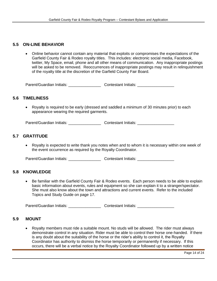#### **5.5 ON-LINE BEHAVIOR**

• Online behavior cannot contain any material that exploits or compromises the expectations of the Garfield County Fair & Rodeo royalty titles. This includes: electronic social media, Facebook, twitter, My Space, email, phone and all other means of communication. Any inappropriate postings will be asked to be removed. Reoccurrences of inappropriate postings may result in relinquishment of the royalty title at the discretion of the Garfield County Fair Board.

Parent/Guardian Initials: \_\_\_\_\_\_\_\_\_\_\_\_\_\_\_\_\_\_\_\_\_Contestant Initials: \_\_\_\_\_\_\_\_\_\_\_\_

#### **5.6 TIMELINESS**

• Royalty is required to be early (dressed and saddled a minimum of 30 minutes prior) to each appearance wearing the required garments.

Parent/Guardian Initials: \_\_\_\_\_\_\_\_\_\_\_\_\_\_\_\_\_\_\_\_\_\_\_\_Contestant Initials: \_\_\_\_\_\_\_\_\_\_

#### **5.7 GRATITUDE**

• Royalty is expected to write thank you notes when and to whom it is necessary within one week of the event occurrence as required by the Royalty Coordinator.

Parent/Guardian Initials: \_\_\_\_\_\_\_\_\_\_\_\_\_\_\_\_\_\_\_\_ Contestant Initials: \_\_\_\_\_\_\_\_\_\_\_\_

#### **5.8 KNOWLEDGE**

• Be familiar with the Garfield County Fair & Rodeo events. Each person needs to be able to explain basic information about events, rules and equipment so she can explain it to a stranger/spectator. She must also know about the town and attractions and current events. Refer to the included Topics and Study Guide on page 17.

Parent/Guardian Initials: <br>
Contestant Initials: <br>
Contestant Initials:

#### **5.9 MOUNT**

• Royalty members must ride a suitable mount. No studs will be allowed. The rider must always demonstrate control in any situation. Rider must be able to control their horse one-handed. If there is any doubt about the suitability of the horse or the rider's ability to control it, the Royalty Coordinator has authority to dismiss the horse temporarily or permanently if necessary. If this occurs, there will be a verbal notice by the Royalty Coordinator followed up by a written notice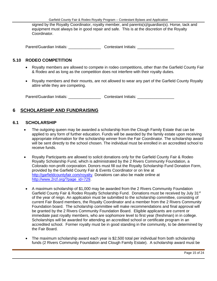signed by the Royalty Coordinator, royalty member, and parents(s)/guardian(s). Horse, tack and equipment must always be in good repair and safe. This is at the discretion of the Royalty Coordinator.

Parent/Guardian Initials: example and contestant Initials:  $\blacksquare$ 

#### **5.10 RODEO COMPETITION**

- Royalty members are allowed to compete in rodeo competitions, other than the Garfield County Fair & Rodeo and as long as the competition does not interfere with their royalty duties.
- Royalty members and their mounts, are not allowed to wear any part of the Garfield County Royalty attire while they are competing.

Parent/Guardian Initials: \_\_\_\_\_\_\_\_\_\_\_\_\_\_\_\_\_\_\_\_\_Contestant Initials: \_\_\_\_\_\_\_\_\_\_\_\_

#### **6 SCHOLARSHIP AND FUNDRAISING**

#### **6.1 SCHOLARSHIP**

- The outgoing queen may be awarded a scholarship from the Clough Family Estate that can be applied to any form of further education. Funds will be awarded by the family estate upon receiving appropriate information for the scholarship winner from the Fair Coordinator. The scholarship award will be sent directly to the school chosen. The individual must be enrolled in an accredited school to receive funds.
- Royalty Participants are allowed to solicit donations only for the Garfield County Fair & Rodeo Royalty Scholarship Fund, which is administrated by the 2 Rivers Community Foundation, a Colorado non-profit corporation. Donors must fill out the Royalty Scholarship Fund Donation Form, provided by the Garfield County Fair & Events Coordinator or on line at [http://garfieldcountyfair.com/royalty.](http://garfieldcountyfair.com/royalty) Donations can also be made online at [http://www.2rcf.org/?page\\_id=729.](http://www.2rcf.org/?page_id=729)
- A maximum scholarship of \$1,000 may be awarded from the 2 Rivers Community Foundation Garfield County Fair & Rodeo Royalty Scholarship Fund. Donations must be received by July 31<sup>st</sup> of the year of reign. An application must be submitted to the scholarship committee, consisting of current Fair Board members, the Royalty Coordinator and a member from the 2 Rivers Community Foundation board. The scholarship committee will make recommendations and final approval will be granted by the 2 Rivers Community Foundation Board. Eligible applicants are current or immediate past royalty members, who are sophomore level to first year (freshman) in in college. Scholarships will be awarded for attending an accredited school or certificate program in an accredited school. Former royalty must be in good standing in the community, to be determined by the Fair Board.
- The maximum scholarship award each year is \$2,500 total per individual from both scholarship funds (2 Rivers Community Foundation and Clough Family Estate). A scholarship award must be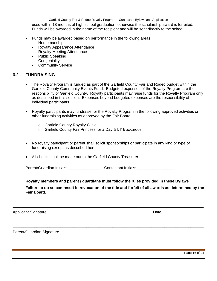used within 18 months of high school graduation, otherwise the scholarship award is forfeited. Funds will be awarded in the name of the recipient and will be sent directly to the school.

- Funds may be awarded based on performance in the following areas:
	- Horsemanship
	- Royalty Appearance Attendance
	- Royalty Meeting Attendance
	- Public Speaking
	- Congeniality
	- Community Service

#### **6.2 FUNDRAISING**

- The Royalty Program is funded as part of the Garfield County Fair and Rodeo budget within the Garfield County Community Events Fund. Budgeted expenses of the Royalty Program are the responsibility of Garfield County. Royalty participants may raise funds for the Royalty Program only as described in this section. Expenses beyond budgeted expenses are the responsibility of individual participants.
- Royalty participants may fundraise for the Royalty Program in the following approved activities or other fundraising activities as approved by the Fair Board.
	- o Garfield County Royalty Clinic
	- o Garfield County Fair Princess for a Day & Lil' Buckaroos
- No royalty participant or parent shall solicit sponsorships or participate in any kind or type of fundraising except as described herein.
- All checks shall be made out to the Garfield County Treasurer.

Parent/Guardian Initials: <br>
Contestant Initials: <br>
Contestant Initials:

#### **Royalty members and parent / guardians must follow the rules provided in these Bylaws**

\_\_\_\_\_\_\_\_\_\_\_\_\_\_\_\_\_\_\_\_\_\_\_\_\_\_\_\_\_\_\_\_\_\_\_\_\_\_\_\_\_\_\_\_\_\_\_\_\_\_\_\_\_\_\_\_\_\_\_\_\_\_\_\_\_\_\_\_\_\_\_\_\_\_\_\_\_\_\_\_\_\_\_\_\_\_\_\_

\_\_\_\_\_\_\_\_\_\_\_\_\_\_\_\_\_\_\_\_\_\_\_\_\_\_\_\_\_\_\_\_\_\_\_\_\_\_\_\_\_\_\_\_\_\_\_\_\_\_\_\_\_\_\_\_\_\_\_\_\_\_\_\_\_\_\_\_\_\_\_\_\_\_\_\_\_\_\_\_\_\_\_\_\_\_\_\_

#### **Failure to do so can result in revocation of the title and forfeit of all awards as determined by the Fair Board.**

Applicant Signature Date Applicant Signature Date

Parent/Guardian Signature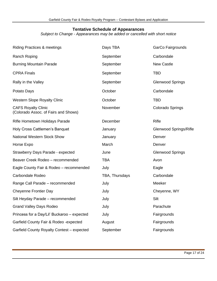#### **Tentative Schedule of Appearances**

*Subject to Change - Appearances may be added or cancelled with short notice*

| <b>Riding Practices &amp; meetings</b>                             | Days TBA       | GarCo Fairgrounds       |
|--------------------------------------------------------------------|----------------|-------------------------|
| Ranch Roping                                                       | September      | Carbondale              |
| <b>Burning Mountain Parade</b>                                     | September      | <b>New Castle</b>       |
| <b>CPRA Finals</b>                                                 | September      | <b>TBD</b>              |
| Rally in the Valley                                                | September      | <b>Glenwood Springs</b> |
| Potato Days                                                        | October        | Carbondale              |
| <b>Western Slope Royalty Clinic</b>                                | October        | <b>TBD</b>              |
| <b>CAFS Royalty Clinic</b><br>(Colorado Assoc. of Fairs and Shows) | November       | Colorado Springs        |
| Rifle Hometown Holidays Parade                                     | December       | Rifle                   |
| Holy Cross Cattlemen's Banquet                                     | January        | Glenwood Springs/Rifle  |
| <b>National Western Stock Show</b>                                 | January        | Denver                  |
| Horse Expo                                                         | March          | Denver                  |
| Strawberry Days Parade - expected                                  | June           | <b>Glenwood Springs</b> |
| Beaver Creek Rodeo - recommended                                   | <b>TBA</b>     | Avon                    |
| Eagle County Fair & Rodeo - recommended                            | July           | Eagle                   |
| Carbondale Rodeo                                                   | TBA, Thursdays | Carbondale              |
| Range Call Parade - recommended                                    | July           | Meeker                  |
| <b>Cheyenne Frontier Day</b>                                       | July           | Cheyenne, WY            |
| Silt Heyday Parade - recommended                                   | July           | Silt                    |
| <b>Grand Valley Days Rodeo</b>                                     | July           | Parachute               |
| Princess for a Day/Lil' Buckaroo - expected                        | July           | Fairgrounds             |
| Garfield County Fair & Rodeo - expected                            | August         | Fairgrounds             |
| Garfield County Royalty Contest - expected                         | September      | Fairgrounds             |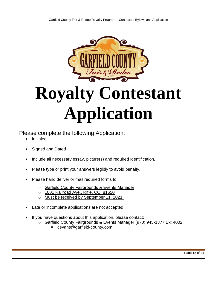

# **Royalty Contestant Application**

Please complete the following Application:

- Initialed
- Signed and Dated
- Include all necessary essay, picture(s) and required Identification.
- Please type or print your answers legibly to avoid penalty.
- Please hand deliver or mail required forms to:
	- o Garfield County Fairgrounds & Events Manager
	- o 1001 Railroad Ave., Rifle, CO, 81650
	- o Must be received by September 11, 2021.
- Late or incomplete applications are not accepted
- If you have questions about this application, please contact:
	- o Garfield County Fairgrounds & Events Manager (970) 945-1377 Ex: 4002
		- cevans@garfield-county.com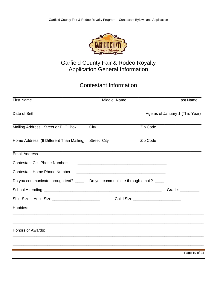

# Garfield County Fair & Rodeo Royalty Application General Information

# Contestant Information

| <b>First Name</b>                                                             | Middle Name                                                                                                          |                                       | Last Name                                                                                                                                                                                                                      |
|-------------------------------------------------------------------------------|----------------------------------------------------------------------------------------------------------------------|---------------------------------------|--------------------------------------------------------------------------------------------------------------------------------------------------------------------------------------------------------------------------------|
| Date of Birth                                                                 |                                                                                                                      |                                       | Age as of January 1 (This Year)                                                                                                                                                                                                |
| Mailing Address: Street or P. O. Box                                          | City                                                                                                                 | Zip Code                              |                                                                                                                                                                                                                                |
| Home Address: (If Different Than Mailing)                                     | <b>Street City</b>                                                                                                   | Zip Code                              |                                                                                                                                                                                                                                |
| <b>Email Address</b>                                                          |                                                                                                                      |                                       |                                                                                                                                                                                                                                |
| <b>Contestant Cell Phone Number:</b>                                          |                                                                                                                      |                                       |                                                                                                                                                                                                                                |
| <b>Contestant Home Phone Number:</b>                                          | <u> 2000 - Jan James James James James James James James James James James James James James James James James J</u> |                                       |                                                                                                                                                                                                                                |
| Do you communicate through text? _____ Do you communicate through email? ____ |                                                                                                                      |                                       |                                                                                                                                                                                                                                |
|                                                                               |                                                                                                                      |                                       | Grade: Canadian Control Control Control Control Control Control Control Control Control Control Control Control Control Control Control Control Control Control Control Control Control Control Control Control Control Contro |
| Shirt Size: Adult Size __________________________                             |                                                                                                                      | Child Size __________________________ |                                                                                                                                                                                                                                |
| Hobbies:                                                                      |                                                                                                                      |                                       |                                                                                                                                                                                                                                |
| <b>Honors or Awards:</b>                                                      |                                                                                                                      |                                       |                                                                                                                                                                                                                                |
|                                                                               |                                                                                                                      |                                       |                                                                                                                                                                                                                                |
|                                                                               |                                                                                                                      |                                       | Page 19 of 24                                                                                                                                                                                                                  |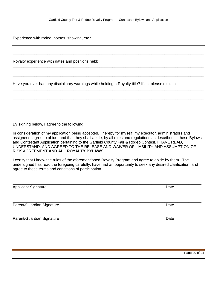\_\_\_\_\_\_\_\_\_\_\_\_\_\_\_\_\_\_\_\_\_\_\_\_\_\_\_\_\_\_\_\_\_\_\_\_\_\_\_\_\_\_\_\_\_\_\_\_\_\_\_\_\_\_\_\_\_\_\_\_\_\_\_\_\_\_\_\_\_\_\_\_\_\_\_\_\_\_\_\_\_\_\_\_\_\_\_\_

\_\_\_\_\_\_\_\_\_\_\_\_\_\_\_\_\_\_\_\_\_\_\_\_\_\_\_\_\_\_\_\_\_\_\_\_\_\_\_\_\_\_\_\_\_\_\_\_\_\_\_\_\_\_\_\_\_\_\_\_\_\_\_\_\_\_\_\_\_\_\_\_\_\_\_\_\_\_\_\_\_\_\_\_\_\_\_\_

\_\_\_\_\_\_\_\_\_\_\_\_\_\_\_\_\_\_\_\_\_\_\_\_\_\_\_\_\_\_\_\_\_\_\_\_\_\_\_\_\_\_\_\_\_\_\_\_\_\_\_\_\_\_\_\_\_\_\_\_\_\_\_\_\_\_\_\_\_\_\_\_\_\_\_\_\_\_\_\_\_\_\_\_\_\_\_\_

\_\_\_\_\_\_\_\_\_\_\_\_\_\_\_\_\_\_\_\_\_\_\_\_\_\_\_\_\_\_\_\_\_\_\_\_\_\_\_\_\_\_\_\_\_\_\_\_\_\_\_\_\_\_\_\_\_\_\_\_\_\_\_\_\_\_\_\_\_\_\_\_\_\_\_\_\_\_\_\_\_\_\_\_\_\_\_\_

\_\_\_\_\_\_\_\_\_\_\_\_\_\_\_\_\_\_\_\_\_\_\_\_\_\_\_\_\_\_\_\_\_\_\_\_\_\_\_\_\_\_\_\_\_\_\_\_\_\_\_\_\_\_\_\_\_\_\_\_\_\_\_\_\_\_\_\_\_\_\_\_\_\_\_\_\_\_\_\_\_\_\_\_\_\_\_\_

Experience with rodeo, horses, showing, etc.:

Royalty experience with dates and positions held:

Have you ever had any disciplinary warnings while holding a Royalty title? If so, please explain:

By signing below, I agree to the following:

In consideration of my application being accepted, I hereby for myself, my executor, administrators and assignees, agree to abide, and that they shall abide, by all rules and regulations as described in these Bylaws and Contestant Application pertaining to the Garfield County Fair & Rodeo Contest. I HAVE READ, UNDERSTAND, AND AGREED TO THE RELEASE AND WAIVER OF LIABILITY AND ASSUMPTION OF RISK AGREEMENT **AND ALL ROYALTY BYLAWS**.

I certify that I know the rules of the aforementioned Royalty Program and agree to abide by them. The undersigned has read the foregoing carefully, have had an opportunity to seek any desired clarification, and agree to these terms and conditions of participation.

| <b>Applicant Signature</b> | Date |
|----------------------------|------|
|                            |      |
| Parent/Guardian Signature  | Date |
| Parent/Guardian Signature  | Date |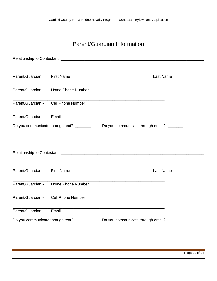# Parent/Guardian Information

| Parent/Guardian   | <b>First Name</b>                        | Last Name                                               |  |
|-------------------|------------------------------------------|---------------------------------------------------------|--|
|                   | Parent/Guardian - Home Phone Number      |                                                         |  |
|                   | Parent/Guardian - Cell Phone Number      |                                                         |  |
| Parent/Guardian - | Email                                    |                                                         |  |
|                   | Do you communicate through text? _______ | Do you communicate through email? _______               |  |
|                   |                                          |                                                         |  |
|                   |                                          |                                                         |  |
|                   |                                          |                                                         |  |
| Parent/Guardian   | <b>First Name</b>                        | Last Name                                               |  |
|                   |                                          | <u> 1980 - Johann John Stone, mars et al. (b. 1980)</u> |  |
|                   | Parent/Guardian - Home Phone Number      |                                                         |  |
| Parent/Guardian - | <b>Cell Phone Number</b>                 |                                                         |  |
| Parent/Guardian - | Email                                    |                                                         |  |
|                   | Do you communicate through text? _______ | Do you communicate through email? _______               |  |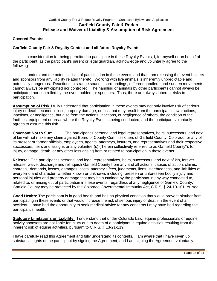#### **Garfield County Fair & Rodeo Release and Waiver of Liability & Assumption of Risk Agreement**

#### **Covered Events:**

#### **Garfield County Fair & Royalty Contest and all future Royalty Events**

In consideration for being permitted to participate in these Royalty Events, I, for myself or on behalf of the participant, as the participant's parent or legal guardian, acknowledge and voluntarily agree to the following:

I understand the potential risks of participation in these events and that I am releasing the event holders and sponsors from any liability related thereto. Working with live animals is inherently unpredictable and potentially dangerous. Reactions to strange sounds, surroundings, different handlers, and sudden movements cannot always be anticipated nor controlled. The handling of animals by other participants cannot always be anticipated nor controlled by the event holders or sponsors. Thus, there are always inherent risks to participation.

Assumption of Risk: I fully understand that participation in these events may not only involve risk of serious injury or death, economic loss, property damage, or loss that may result from the participant's own actions, inactions, or negligence, but also from the actions, inactions, or negligence of others, the condition of the facilities, equipment or areas where the Royalty Event is being conducted, and the participant voluntarily agrees to assume this risk.

**Covenant Not to Sue:** The participant's personal and legal representatives, heirs, successors, and next of kin will not make any claim against Board of County Commissioners of Garfield County, Colorado, or any of its present or former officials, employees, agents, attorneys, insurers, and representatives and their respective successors, heirs and assigns or any volunteer(s) ("herein collectively referred to as Garfield County"), for injury, damage, death, or any other loss arising from or related to participation in these events.

**Release:** The participant's personal and legal representatives, heirs, successors, and next of kin, forever release, waive, discharge and relinquish Garfield County from any and all actions, causes of action, claims, charges, demands, losses, damages, costs, attorney's fees, judgments, liens, indebtedness, and liabilities of every kind and character, whether known or unknown, including foreseen or unforeseen bodily injury and personal injuries and property damage that may be sustained by the participant in any way connected to, related to, or arising out of participation in these events, regardless of any negligence of Garfield County. Garfield County may be protected by the Colorado Governmental Immunity Act, C.R.S. § 24-10-101, et. seq.

**Good Health:** The participant is in good health and has no physical condition that would prevent him/her from participating in these events or that would increase the risk of serious injury or death in the event of an accident. I have had the opportunity to seek medical advice for any concerns I may have had regarding the participant's health.

**Statutory Limitations on Liability:** I understand that under Colorado Law, equine professionals or equine activity sponsors are not liable for injury due to death of a participant in equine activities resulting from the inherent risk of equine activities, pursuant to C.R.S. § 13-21-119.

I have carefully read this Agreement and fully understand its contents. I am aware that I have given up substantial rights of the participant by signing the Agreement, and I am signing the Agreement voluntarily.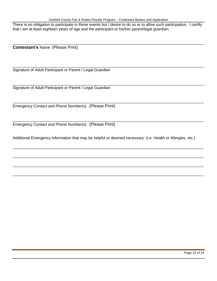There is no obligation to participate in these events but I desire to do so or to allow such participation. I certify that I am at least eighteen years of age and the participant or his/her parent/legal guardian.

\_\_\_\_\_\_\_\_\_\_\_\_\_\_\_\_\_\_\_\_\_\_\_\_\_\_\_\_\_\_\_\_\_\_\_\_\_\_\_\_\_\_\_\_\_\_\_\_\_\_\_\_\_\_\_\_\_\_\_\_\_\_\_\_\_\_\_\_\_\_\_\_\_\_\_\_\_\_\_\_\_\_\_\_\_\_\_\_

\_\_\_\_\_\_\_\_\_\_\_\_\_\_\_\_\_\_\_\_\_\_\_\_\_\_\_\_\_\_\_\_\_\_\_\_\_\_\_\_\_\_\_\_\_\_\_\_\_\_\_\_\_\_\_\_\_\_\_\_\_\_\_\_\_\_\_\_\_\_\_\_\_\_\_\_\_\_\_\_\_\_\_\_\_\_\_\_

\_\_\_\_\_\_\_\_\_\_\_\_\_\_\_\_\_\_\_\_\_\_\_\_\_\_\_\_\_\_\_\_\_\_\_\_\_\_\_\_\_\_\_\_\_\_\_\_\_\_\_\_\_\_\_\_\_\_\_\_\_\_\_\_\_\_\_\_\_\_\_\_\_\_\_\_\_\_\_\_\_\_\_\_\_\_\_\_

\_\_\_\_\_\_\_\_\_\_\_\_\_\_\_\_\_\_\_\_\_\_\_\_\_\_\_\_\_\_\_\_\_\_\_\_\_\_\_\_\_\_\_\_\_\_\_\_\_\_\_\_\_\_\_\_\_\_\_\_\_\_\_\_\_\_\_\_\_\_\_\_\_\_\_\_\_\_\_\_\_\_\_\_\_\_\_\_

\_\_\_\_\_\_\_\_\_\_\_\_\_\_\_\_\_\_\_\_\_\_\_\_\_\_\_\_\_\_\_\_\_\_\_\_\_\_\_\_\_\_\_\_\_\_\_\_\_\_\_\_\_\_\_\_\_\_\_\_\_\_\_\_\_\_\_\_\_\_\_\_\_\_\_\_\_\_\_\_\_\_\_\_\_\_\_\_

\_\_\_\_\_\_\_\_\_\_\_\_\_\_\_\_\_\_\_\_\_\_\_\_\_\_\_\_\_\_\_\_\_\_\_\_\_\_\_\_\_\_\_\_\_\_\_\_\_\_\_\_\_\_\_\_\_\_\_\_\_\_\_\_\_\_\_\_\_\_\_\_\_\_\_\_\_\_\_\_\_\_\_\_\_\_\_\_

\_\_\_\_\_\_\_\_\_\_\_\_\_\_\_\_\_\_\_\_\_\_\_\_\_\_\_\_\_\_\_\_\_\_\_\_\_\_\_\_\_\_\_\_\_\_\_\_\_\_\_\_\_\_\_\_\_\_\_\_\_\_\_\_\_\_\_\_\_\_\_\_\_\_\_\_\_\_\_\_\_\_\_\_\_\_\_\_

\_\_\_\_\_\_\_\_\_\_\_\_\_\_\_\_\_\_\_\_\_\_\_\_\_\_\_\_\_\_\_\_\_\_\_\_\_\_\_\_\_\_\_\_\_\_\_\_\_\_\_\_\_\_\_\_\_\_\_\_\_\_\_\_\_\_\_\_\_\_\_\_\_\_\_\_\_\_\_\_\_\_\_\_\_\_\_\_

\_\_\_\_\_\_\_\_\_\_\_\_\_\_\_\_\_\_\_\_\_\_\_\_\_\_\_\_\_\_\_\_\_\_\_\_\_\_\_\_\_\_\_\_\_\_\_\_\_\_\_\_\_\_\_\_\_\_\_\_\_\_\_\_\_\_\_\_\_\_\_\_\_\_\_\_\_\_\_\_\_\_\_\_\_\_\_\_

**Contestant's** Name (Please Print)

Signature of Adult Participant or Parent / Legal Guardian

Signature of Adult Participant or Parent / Legal Guardian

Emergency Contact and Phone Number(s) (Please Print)

Emergency Contact and Phone Number(s) (Please Print)

Additional Emergency Information that may be helpful or deemed necessary: (i.e. Health or Allergies, etc.)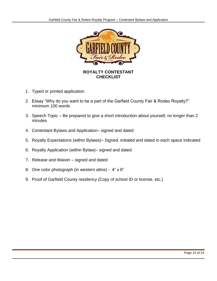

#### **ROYALTY CONTESTANT CHECKLIST**

- 1. Typed or printed application
- 2. Essay "Why do you want to be a part of the Garfield County Fair & Rodeo Royalty?" minimum 100 words
- 3. Speech Topic Be prepared to give a short introduction about yourself, no longer than 2 minutes
- 4. Contestant Bylaws and Application– signed and dated
- 5. Royalty Expectations (within Bylaws)– Signed, initialed and dated in each space indicated
- 6. Royalty Application (within Bylaw)– signed and dated
- 7. Release and Waiver signed and dated
- 8. One color photograph (in western attire) 4" x 6"
- 9. Proof of Garfield County residency (Copy of school ID or license, etc.)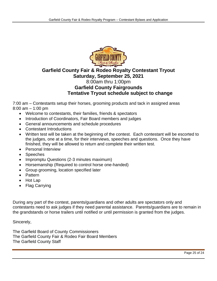

### **Garfield County Fair & Rodeo Royalty Contestant Tryout Saturday, September 25, 2021** 8:00am thru 1:00pm **Garfield County Fairgrounds Tentative Tryout schedule subject to change**

7:00 am – Contestants setup their horses, grooming products and tack in assigned areas 8:00 am – 1:00 pm

- Welcome to contestants, their families, friends & spectators
- Introduction of Coordinators, Fair Board members and judges
- General announcements and schedule procedures
- Contestant Introductions
- Written test will be taken at the beginning of the contest. Each contestant will be escorted to the judges, one at a time, for their interviews, speeches and questions. Once they have finished, they will be allowed to return and complete their written test.
- Personal Interview
- Speeches
- Impromptu Questions (2-3 minutes maximum)
- Horsemanship (Required to control horse one-handed)
- Group grooming, location specified later
- Pattern
- Hot Lap
- Flag Carrying

During any part of the contest, parents/guardians and other adults are spectators only and contestants need to ask judges if they need parental assistance. Parents/guardians are to remain in the grandstands or horse trailers until notified or until permission is granted from the judges.

Sincerely,

The Garfield Board of County Commissioners The Garfield County Fair & Rodeo Fair Board Members The Garfield County Staff